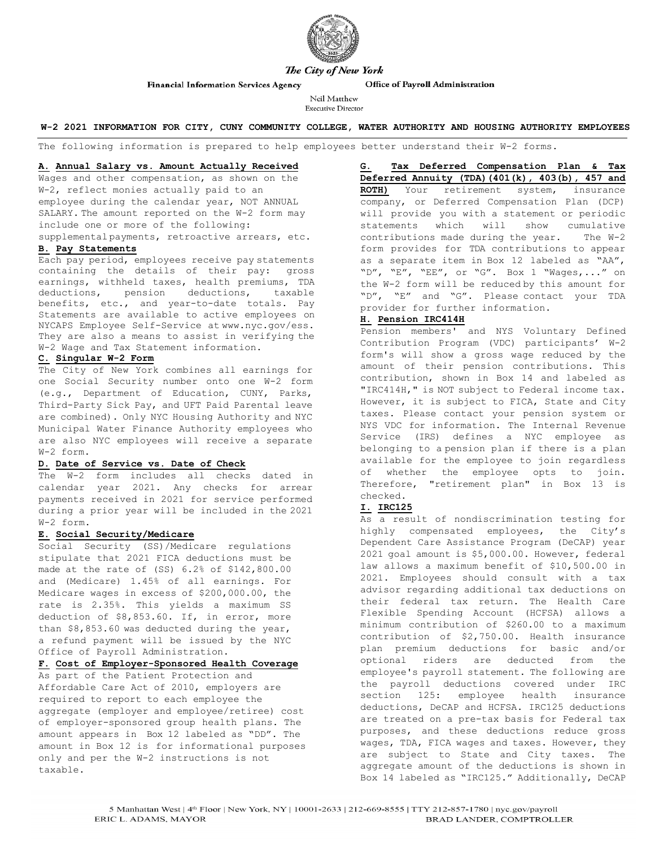

#### Office of Payroll Administration

Neil Matthew **Executive Director** 

#### **W-2 2021 INFORMATION FOR CITY, CUNY COMMUNITY COLLEGE, WATER AUTHORITY AND HOUSING AUTHORITY EMPLOYEES**

The following information is prepared to help employees better understand their W-2 forms.

#### **A. Annual Salary vs. Amount Actually Received**

**Financial Information Services Agency** 

Wages and other compensation, as shown on the W-2, reflect monies actually paid to an employee during the calendar year, NOT ANNUAL SALARY. The amount reported on the W-2 form may include one or more of the following: supplementalpayments, retroactive arrears, etc.

### **B. Pay Statements**

Each pay period, employees receive pay statements containing the details of their pay: gross earnings, withheld taxes, health premiums, TDA deductions, pension deductions, taxable benefits, etc., and year-to-date totals. Pay Statements are available to active employees on NYCAPS Employee Self-Service at [www.nyc.gov/ess.](http://www.nyc.gov/ess) They are also a means to assist in verifying the W-2 Wage and Tax Statement information.

# **C. Singular W-2 Form**

The City of New York combines all earnings for one Social Security number onto one W-2 form (e.g., Department of Education, CUNY, Parks, Third-Party Sick Pay, and UFT Paid Parental leave are combined). Only NYC Housing Authority and NYC Municipal Water Finance Authority employees who are also NYC employees will receive a separate W-2 form.

## **D. Date of Service vs. Date of Check**

The W-2 form includes all checks dated in calendar year 2021. Any checks for arrear payments received in 2021 for service performed during a prior year will be included in the 2021 W-2 form.

#### **E. Social Security/Medicare**

Social Security (SS)/Medicare regulations stipulate that 2021 FICA deductions must be made at the rate of (SS) 6.2% of \$142,800.00 and (Medicare) 1.45% of all earnings. For Medicare wages in excess of \$200,000.00, the rate is 2.35%. This yields a maximum SS deduction of \$8,853.60. If, in error, more than \$8,853.60 was deducted during the year, a refund payment will be issued by the NYC Office of Payroll Administration.

# **F. Cost of Employer-Sponsored Health Coverage**

As part of the Patient Protection and Affordable Care Act of 2010, employers are required to report to each employee the aggregate (employer and employee/retiree) cost of employer-sponsored group health plans. The amount appears in Box 12 labeled as "DD". The amount in Box 12 is for informational purposes only and per the W-2 instructions is not taxable.

**G. Tax Deferred Compensation Plan & Tax Deferred Annuity (TDA)(401(k), 403(b), 457 and ROTH)** Your retirement system, insurance company, or Deferred Compensation Plan (DCP) will provide you with a statement or periodic statements which will show cumulative<br>contributions made during the year. The W-2 contributions made during the year. form provides for TDA contributions to appear as a separate item in Box 12 labeled as "AA", "D", "E", "EE", or "G". Box 1 "Wages,..." on the W-2 form will be reduced by this amount for "D", "E" and "G". Please contact your TDA provider for further information.

#### **H. Pension IRC414H**

Pension members' and NYS Voluntary Defined Contribution Program (VDC) participants' W-2 form's will show a gross wage reduced by the amount of their pension contributions. This contribution, shown in Box 14 and labeled as "IRC414H," is NOT subject to Federal income tax. However, it is subject to FICA, State and City taxes. Please contact your pension system or NYS VDC for information. The Internal Revenue Service (IRS) defines a NYC employee as belonging to a pension plan if there is a plan available for the employee to join regardless of whether the employee opts to join. Therefore, "retirement plan" in Box 13 is checked.

#### **I. IRC125**

As a result of nondiscrimination testing for highly compensated employees, the City's Dependent Care Assistance Program (DeCAP) year 2021 goal amount is \$5,000.00. However, federal law allows a maximum benefit of \$10,500.00 in 2021. Employees should consult with a tax advisor regarding additional tax deductions on their federal tax return. The Health Care Flexible Spending Account (HCFSA) allows a minimum contribution of \$260.00 to a maximum contribution of \$2,750.00. Health insurance plan premium deductions for basic and/or optional riders are deducted from the employee's payroll statement. The following are the payroll deductions covered under IRC section 125: employee health insurance deductions, DeCAP and HCFSA. IRC125 deductions are treated on a pre-tax basis for Federal tax purposes, and these deductions reduce gross wages, TDA, FICA wages and taxes. However, they are subject to State and City taxes. The aggregate amount of the deductions is shown in Box 14 labeled as "IRC125." Additionally, DeCAP